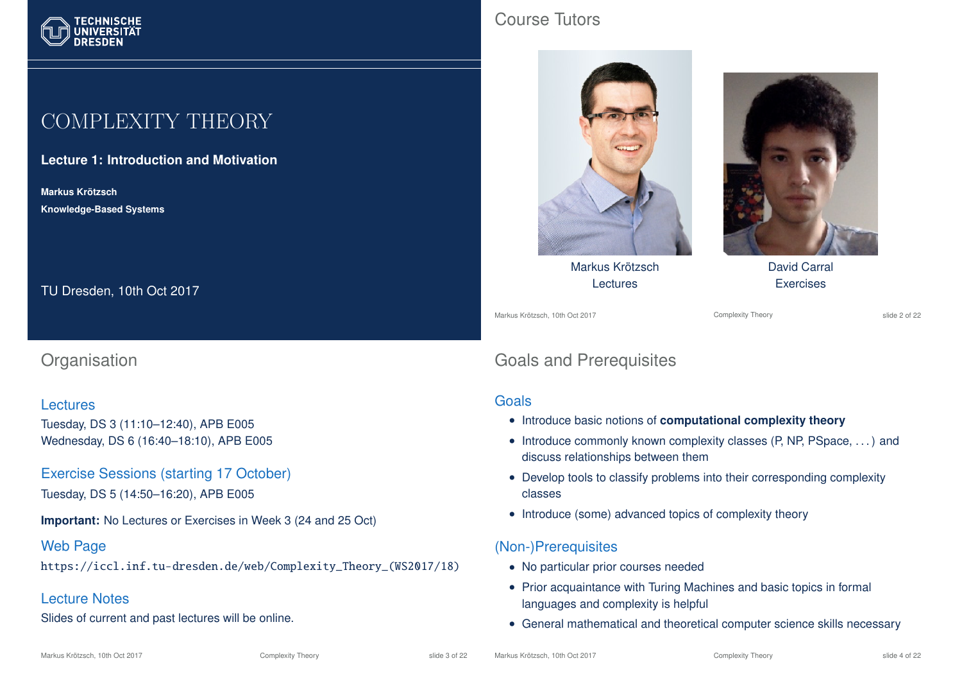

# COMPLEXITY THEORY

**Lecture 1: Introduction and Motivation**

**Markus Krotzsch ¨ Knowledge-Based Systems**

TU Dresden, 10th Oct 2017

## **Organisation**

#### Lectures

Tuesday, DS 3 (11:10–12:40), APB E005 Wednesday, DS 6 (16:40–18:10), APB E005

Exercise Sessions (starting 17 October)

Tuesday, DS 5 (14:50–16:20), APB E005

**Important:** No Lectures or Exercises in Week 3 (24 and 25 Oct)

#### Web Page

https://iccl.inf.tu-dresden.de/web/Complexity\_Theory\_(WS2017/18)

#### Lecture Notes

Slides of current and past lectures will be online.

## Course Tutors



Markus Krötzsch Lectures

Markus Krötzsch, 10th Oct 2017 **Complexity Theory** Complexity Theory slide 2 of 22

David Carral **Exercises** 

# Goals and Prerequisites

#### Goals

- Introduce basic notions of **computational complexity theory**
- Introduce commonly known complexity classes (P, NP, PSpace, . . . ) and discuss relationships between them
- Develop tools to classify problems into their corresponding complexity classes
- Introduce (some) advanced topics of complexity theory

#### (Non-)Prerequisites

- No particular prior courses needed
- Prior acquaintance with Turing Machines and basic topics in formal languages and complexity is helpful
- General mathematical and theoretical computer science skills necessary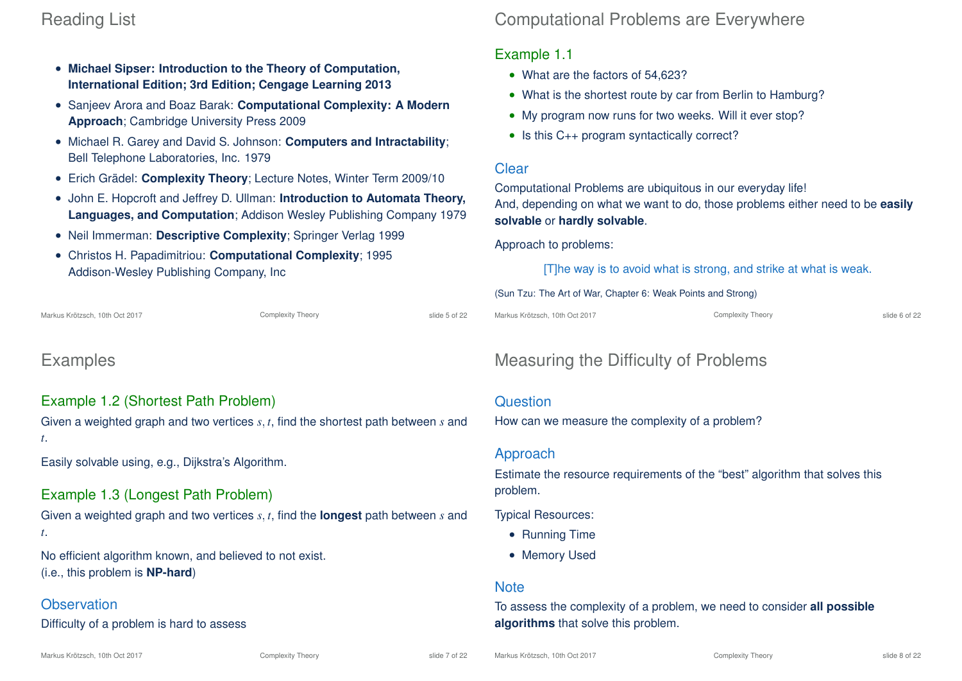# Reading List

- **Michael Sipser: Introduction to the Theory of Computation, International Edition; 3rd Edition; Cengage Learning 2013**
- Sanjeev Arora and Boaz Barak: **Computational Complexity: A Modern Approach**; Cambridge University Press 2009
- Michael R. Garey and David S. Johnson: **Computers and Intractability**; Bell Telephone Laboratories, Inc. 1979
- Erich Grädel: **Complexity Theory**; Lecture Notes, Winter Term 2009/10
- John E. Hopcroft and Jeffrey D. Ullman: **Introduction to Automata Theory, Languages, and Computation**; Addison Wesley Publishing Company 1979
- Neil Immerman: **Descriptive Complexity**; Springer Verlag 1999
- Christos H. Papadimitriou: **Computational Complexity**; 1995 Addison-Wesley Publishing Company, Inc

Markus Krötzsch, 10th Oct 2017 **Complexity Theory** Complexity Theory slide 5 of 22

# Examples

### Example 1.2 (Shortest Path Problem)

Given a weighted graph and two vertices *s*, *t*, find the shortest path between *s* and *t*.

Easily solvable using, e.g., Dijkstra's Algorithm.

## Example 1.3 (Longest Path Problem)

Given a weighted graph and two vertices *s*, *t*, find the **longest** path between *s* and *t*.

No efficient algorithm known, and believed to not exist. (i.e., this problem is **NP-hard**)

#### **Observation**

Difficulty of a problem is hard to assess

# Computational Problems are Everywhere

#### Example 1.1

- What are the factors of 54,623?
- What is the shortest route by car from Berlin to Hamburg?
- My program now runs for two weeks. Will it ever stop?
- Is this C<sub>++</sub> program syntactically correct?

#### **Clear**

Computational Problems are ubiquitous in our everyday life! And, depending on what we want to do, those problems either need to be **easily solvable** or **hardly solvable**.

#### Approach to problems:

[T]he way is to avoid what is strong, and strike at what is weak.

#### (Sun Tzu: The Art of War, Chapter 6: Weak Points and Strong)

Markus Krötzsch, 10th Oct 2017 **Complexity Theory** Complexity Theory slide 6 of 22

# Measuring the Difficulty of Problems

#### **Question**

How can we measure the complexity of a problem?

#### Approach

Estimate the resource requirements of the "best" algorithm that solves this problem.

Typical Resources:

- Running Time
- Memory Used

#### **Note**

To assess the complexity of a problem, we need to consider **all possible algorithms** that solve this problem.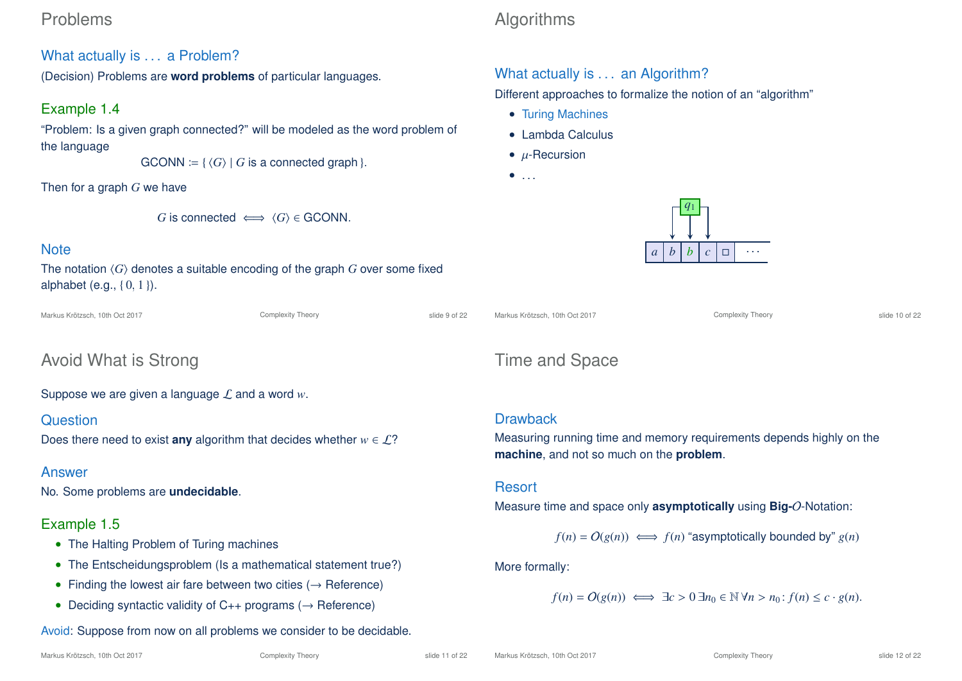## Problems

## What actually is . . . a Problem?

(Decision) Problems are **word problems** of particular languages.

## Example 1.4

"Problem: Is a given graph connected?" will be modeled as the word problem of the language

 $GCONN := \{ \langle G \rangle \mid G$  is a connected graph  $\}$ .

Then for a graph *G* we have

*G* is connected  $\iff$   $\langle G \rangle \in$  GCONN.

### **Note**

The notation  $\langle G \rangle$  denotes a suitable encoding of the graph  $G$  over some fixed alphabet (e.g., { 0, 1 }).

Markus Krötzsch, 10th Oct 2017 **Complexity Theory** Complexity Theory slide 9 of 22

Markus Krötzsch, 10th Oct 2017 Complexity Theory slide 10 of 22

# Avoid What is Strong

Suppose we are given a language L and a word *w*.

### **Question**

Does there need to exist **any** algorithm that decides whether  $w \in \mathcal{L}$ ?

## Answer

No. Some problems are **undecidable**.

## Example 1.5

- The Halting Problem of Turing machines
- The Entscheidungsproblem (Is a mathematical statement true?)
- Finding the lowest air fare between two cities  $(\rightarrow$  Reference)
- Deciding syntactic validity of  $C_{++}$  programs ( $\rightarrow$  Reference)

# Avoid: Suppose from now on all problems we consider to be decidable.

# Algorithms

# What actually is . . . an Algorithm?

Different approaches to formalize the notion of an "algorithm"

- Turing Machines
- Lambda Calculus
- $\bullet$  *u*-Recursion
- $\bullet$  . . .



# Time and Space

## **Drawback**

Measuring running time and memory requirements depends highly on the **machine**, and not so much on the **problem**.

### Resort

Measure time and space only **asymptotically** using **Big-**O-Notation:

 $f(n) = O(g(n)) \iff f(n)$  "asymptotically bounded by"  $g(n)$ 

More formally:

$$
f(n) = O(g(n)) \iff \exists c > 0 \ \exists n_0 \in \mathbb{N} \ \forall n > n_0 : f(n) \leq c \cdot g(n).
$$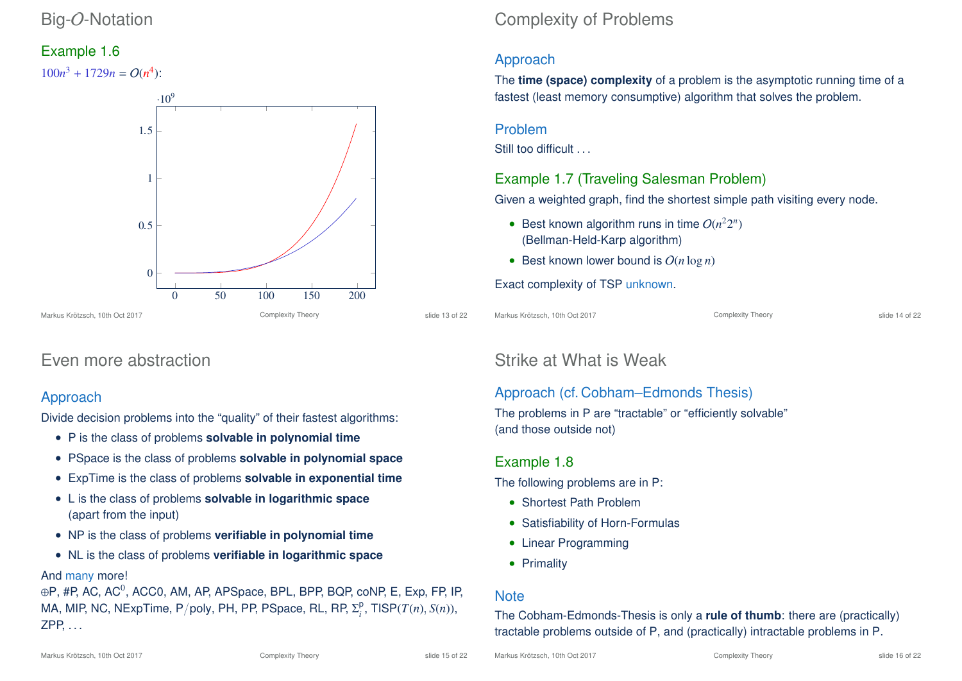## Big-O-Notation

### Example 1.6

 $100n^3 + 1729n = O(n^4)$ :



# Even more abstraction

### Approach

Divide decision problems into the "quality" of their fastest algorithms:

- P is the class of problems **solvable in polynomial time**
- PSpace is the class of problems **solvable in polynomial space**
- ExpTime is the class of problems **solvable in exponential time**
- L is the class of problems **solvable in logarithmic space** (apart from the input)
- NP is the class of problems **verifiable in polynomial time**
- NL is the class of problems **verifiable in logarithmic space**

### And many more!

 $\oplus$ P, #P, AC, AC $^0$ , ACC0, AM, AP, APSpace, BPL, BPP, BQP,  $_{\mathsf{co}}$ NP, E, Exp, FP, IP, MA, MIP, NC, NExpTime, P/poly, PH, PP, PSpace, RL, RP,  $\Sigma_i^{\text{D}}$  $i<sup>p</sup>$ , TISP(*T*(*n*), *S*(*n*)), ZPP, . . .

# Complexity of Problems

## Approach

The **time (space) complexity** of a problem is the asymptotic running time of a fastest (least memory consumptive) algorithm that solves the problem.

#### Problem

Still too difficult . . .

## Example 1.7 (Traveling Salesman Problem)

Given a weighted graph, find the shortest simple path visiting every node.

- Best known algorithm runs in time  $O(n^22^n)$ (Bellman-Held-Karp algorithm)
- Best known lower bound is O(*n* log *n*)

#### Exact complexity of TSP unknown.

Markus Krötzsch, 10th Oct 2017 Complexity Theory slide 14 of 22

# Strike at What is Weak

## Approach (cf. Cobham–Edmonds Thesis)

The problems in P are "tractable" or "efficiently solvable" (and those outside not)

## Example 1.8

The following problems are in P:

- Shortest Path Problem
- Satisfiability of Horn-Formulas
- Linear Programming
- Primality

### **Note**

The Cobham-Edmonds-Thesis is only a **rule of thumb**: there are (practically) tractable problems outside of P, and (practically) intractable problems in P.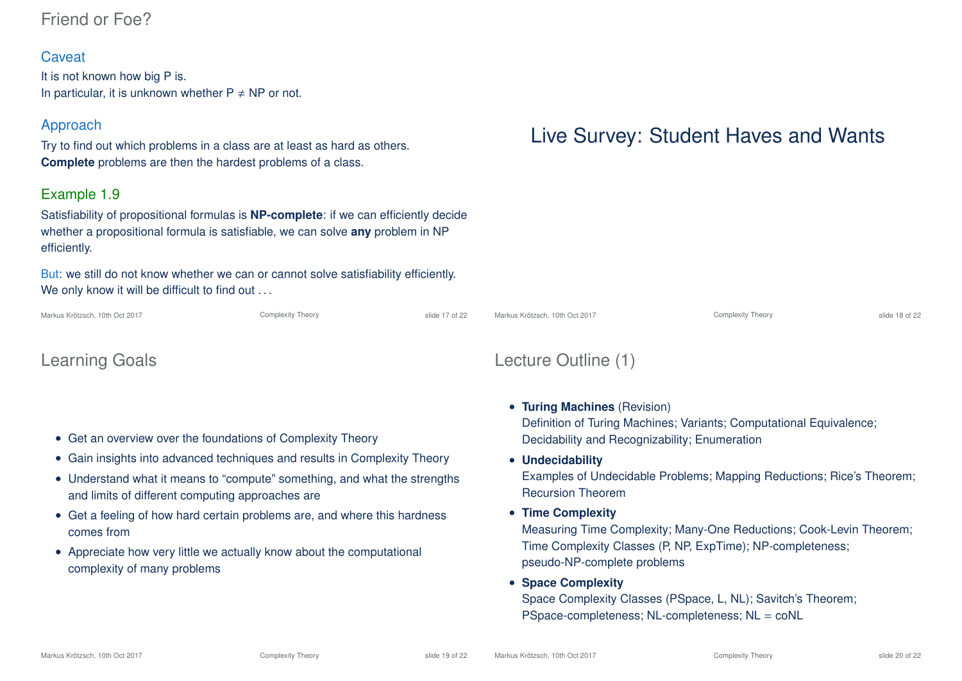## Friend or Foe?

#### **Caveat**

It is not known how big P is. In particular, it is unknown whether  $P \neq NP$  or not.

### Approach

Try to find out which problems in a class are at least as hard as others. **Complete** problems are then the hardest problems of a class.

### Example 1.9

Satisfiability of propositional formulas is **NP-complete**: if we can efficiently decide whether a propositional formula is satisfiable, we can solve **any** problem in NP efficiently.

But: we still do not know whether we can or cannot solve satisfiability efficiently. We only know it will be difficult to find out . . .

Markus Krötzsch, 10th Oct 2017 **Complexity Theory** Complexity Theory slide 17 of 22

## Learning Goals

- Get an overview over the foundations of Complexity Theory
- Gain insights into advanced techniques and results in Complexity Theory
- Understand what it means to "compute" something, and what the strengths and limits of different computing approaches are
- Get a feeling of how hard certain problems are, and where this hardness comes from
- Appreciate how very little we actually know about the computational complexity of many problems

# Live Survey: Student Haves and Wants



# Lecture Outline (1)

- **Turing Machines** (Revision) Definition of Turing Machines; Variants; Computational Equivalence; Decidability and Recognizability; Enumeration
- **Undecidability**

Examples of Undecidable Problems; Mapping Reductions; Rice's Theorem; Recursion Theorem

• **Time Complexity**

Measuring Time Complexity; Many-One Reductions; Cook-Levin Theorem; Time Complexity Classes (P, NP, ExpTime); NP-completeness; pseudo-NP-complete problems

• **Space Complexity**

Space Complexity Classes (PSpace, L, NL); Savitch's Theorem; PSpace-completeness; NL-completeness; NL = coNL